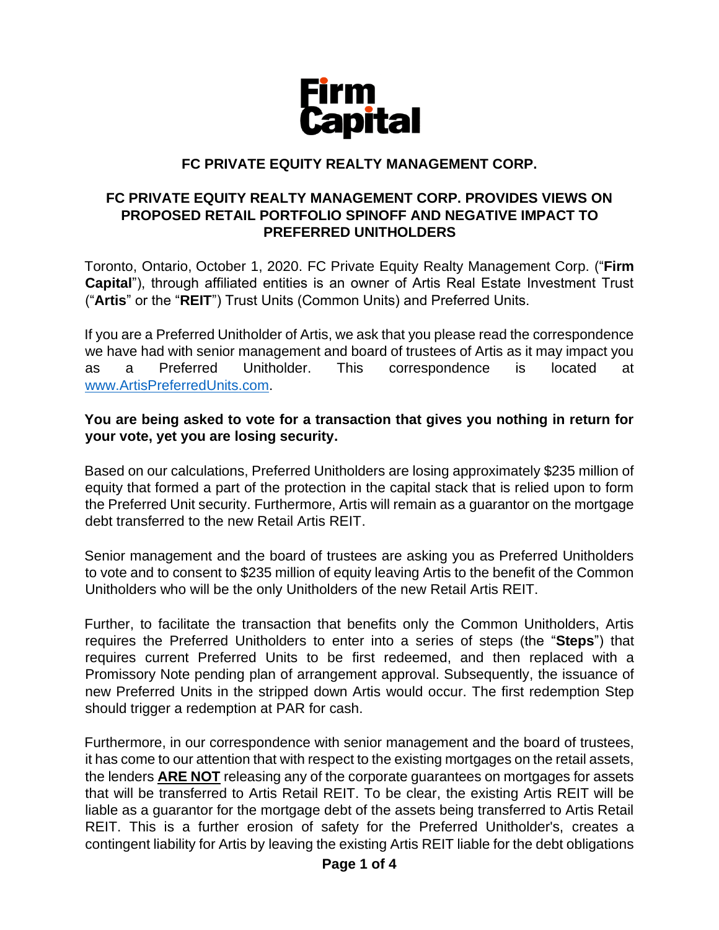

### **FC PRIVATE EQUITY REALTY MANAGEMENT CORP.**

#### **FC PRIVATE EQUITY REALTY MANAGEMENT CORP. PROVIDES VIEWS ON PROPOSED RETAIL PORTFOLIO SPINOFF AND NEGATIVE IMPACT TO PREFERRED UNITHOLDERS**

Toronto, Ontario, October 1, 2020. FC Private Equity Realty Management Corp. ("**Firm Capital**"), through affiliated entities is an owner of Artis Real Estate Investment Trust ("**Artis**" or the "**REIT**") Trust Units (Common Units) and Preferred Units.

If you are a Preferred Unitholder of Artis, we ask that you please read the correspondence we have had with senior management and board of trustees of Artis as it may impact you as a Preferred Unitholder. This correspondence is located at [www.ArtisPreferredUnits.com.](http://www.artispreferredunits.com/)

#### **You are being asked to vote for a transaction that gives you nothing in return for your vote, yet you are losing security.**

Based on our calculations, Preferred Unitholders are losing approximately \$235 million of equity that formed a part of the protection in the capital stack that is relied upon to form the Preferred Unit security. Furthermore, Artis will remain as a guarantor on the mortgage debt transferred to the new Retail Artis REIT.

Senior management and the board of trustees are asking you as Preferred Unitholders to vote and to consent to \$235 million of equity leaving Artis to the benefit of the Common Unitholders who will be the only Unitholders of the new Retail Artis REIT.

Further, to facilitate the transaction that benefits only the Common Unitholders, Artis requires the Preferred Unitholders to enter into a series of steps (the "**Steps**") that requires current Preferred Units to be first redeemed, and then replaced with a Promissory Note pending plan of arrangement approval. Subsequently, the issuance of new Preferred Units in the stripped down Artis would occur. The first redemption Step should trigger a redemption at PAR for cash.

Furthermore, in our correspondence with senior management and the board of trustees, it has come to our attention that with respect to the existing mortgages on the retail assets, the lenders **ARE NOT** releasing any of the corporate guarantees on mortgages for assets that will be transferred to Artis Retail REIT. To be clear, the existing Artis REIT will be liable as a guarantor for the mortgage debt of the assets being transferred to Artis Retail REIT. This is a further erosion of safety for the Preferred Unitholder's, creates a contingent liability for Artis by leaving the existing Artis REIT liable for the debt obligations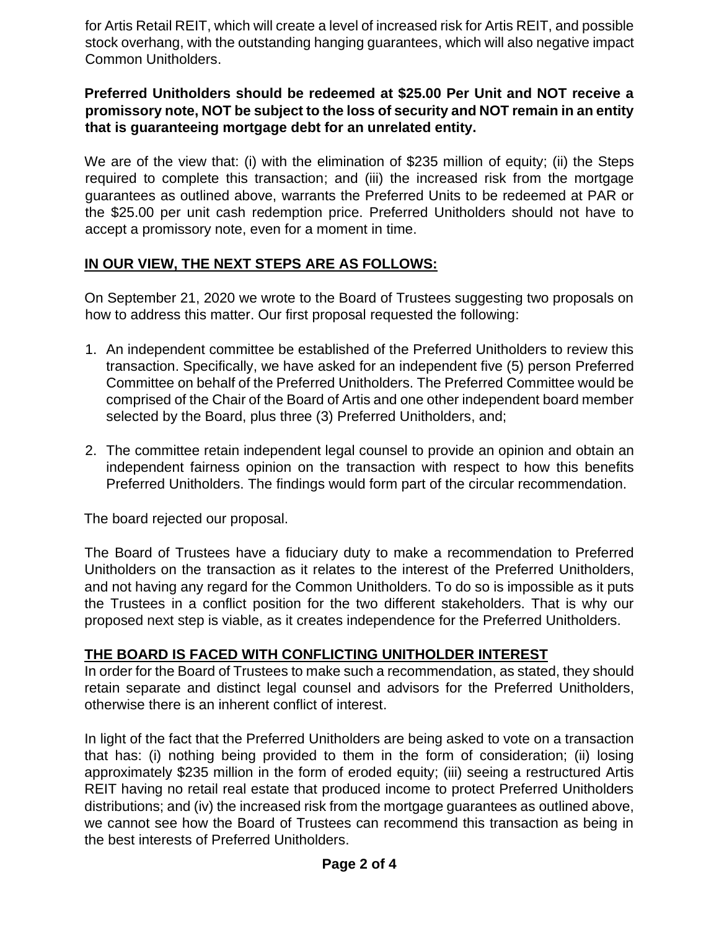for Artis Retail REIT, which will create a level of increased risk for Artis REIT, and possible stock overhang, with the outstanding hanging guarantees, which will also negative impact Common Unitholders.

#### **Preferred Unitholders should be redeemed at \$25.00 Per Unit and NOT receive a promissory note, NOT be subject to the loss of security and NOT remain in an entity that is guaranteeing mortgage debt for an unrelated entity.**

We are of the view that: (i) with the elimination of \$235 million of equity; (ii) the Steps required to complete this transaction; and (iii) the increased risk from the mortgage guarantees as outlined above, warrants the Preferred Units to be redeemed at PAR or the \$25.00 per unit cash redemption price. Preferred Unitholders should not have to accept a promissory note, even for a moment in time.

# **IN OUR VIEW, THE NEXT STEPS ARE AS FOLLOWS:**

On September 21, 2020 we wrote to the Board of Trustees suggesting two proposals on how to address this matter. Our first proposal requested the following:

- 1. An independent committee be established of the Preferred Unitholders to review this transaction. Specifically, we have asked for an independent five (5) person Preferred Committee on behalf of the Preferred Unitholders. The Preferred Committee would be comprised of the Chair of the Board of Artis and one other independent board member selected by the Board, plus three (3) Preferred Unitholders, and;
- 2. The committee retain independent legal counsel to provide an opinion and obtain an independent fairness opinion on the transaction with respect to how this benefits Preferred Unitholders. The findings would form part of the circular recommendation.

The board rejected our proposal.

The Board of Trustees have a fiduciary duty to make a recommendation to Preferred Unitholders on the transaction as it relates to the interest of the Preferred Unitholders, and not having any regard for the Common Unitholders. To do so is impossible as it puts the Trustees in a conflict position for the two different stakeholders. That is why our proposed next step is viable, as it creates independence for the Preferred Unitholders.

# **THE BOARD IS FACED WITH CONFLICTING UNITHOLDER INTEREST**

In order for the Board of Trustees to make such a recommendation, as stated, they should retain separate and distinct legal counsel and advisors for the Preferred Unitholders, otherwise there is an inherent conflict of interest.

In light of the fact that the Preferred Unitholders are being asked to vote on a transaction that has: (i) nothing being provided to them in the form of consideration; (ii) losing approximately \$235 million in the form of eroded equity; (iii) seeing a restructured Artis REIT having no retail real estate that produced income to protect Preferred Unitholders distributions; and (iv) the increased risk from the mortgage guarantees as outlined above, we cannot see how the Board of Trustees can recommend this transaction as being in the best interests of Preferred Unitholders.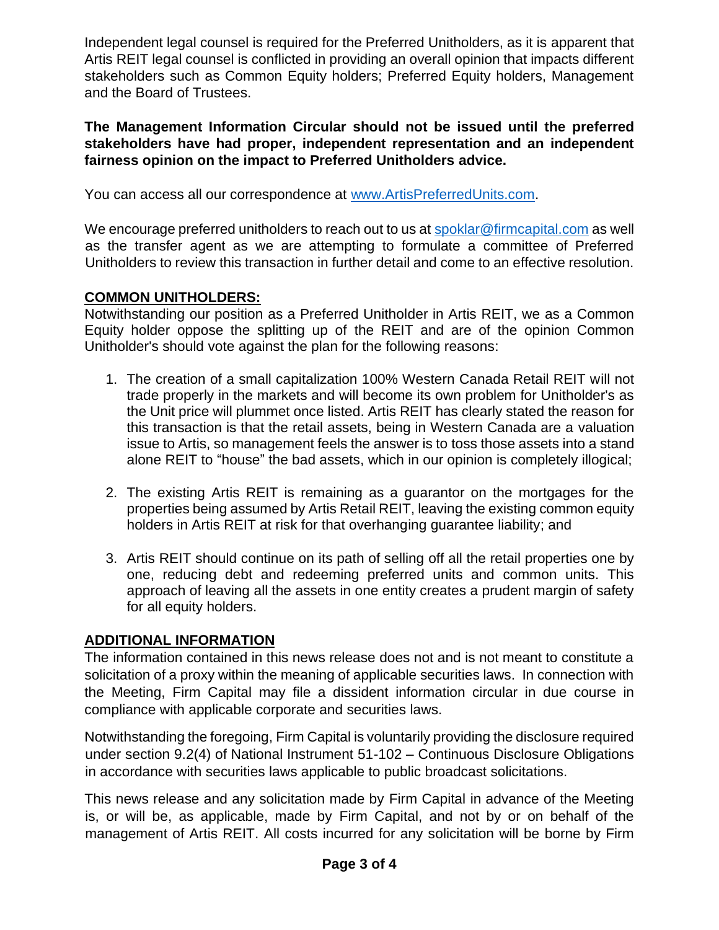Independent legal counsel is required for the Preferred Unitholders, as it is apparent that Artis REIT legal counsel is conflicted in providing an overall opinion that impacts different stakeholders such as Common Equity holders; Preferred Equity holders, Management and the Board of Trustees.

**The Management Information Circular should not be issued until the preferred stakeholders have had proper, independent representation and an independent fairness opinion on the impact to Preferred Unitholders advice.**

You can access all our correspondence at [www.ArtisPreferredUnits.com.](http://www.artispreferredunits.com/)

We encourage preferred unitholders to reach out to us at [spoklar@firmcapital.com](mailto:spoklar@firmcapital.com) as well as the transfer agent as we are attempting to formulate a committee of Preferred Unitholders to review this transaction in further detail and come to an effective resolution.

### **COMMON UNITHOLDERS:**

Notwithstanding our position as a Preferred Unitholder in Artis REIT, we as a Common Equity holder oppose the splitting up of the REIT and are of the opinion Common Unitholder's should vote against the plan for the following reasons:

- 1. The creation of a small capitalization 100% Western Canada Retail REIT will not trade properly in the markets and will become its own problem for Unitholder's as the Unit price will plummet once listed. Artis REIT has clearly stated the reason for this transaction is that the retail assets, being in Western Canada are a valuation issue to Artis, so management feels the answer is to toss those assets into a stand alone REIT to "house" the bad assets, which in our opinion is completely illogical;
- 2. The existing Artis REIT is remaining as a guarantor on the mortgages for the properties being assumed by Artis Retail REIT, leaving the existing common equity holders in Artis REIT at risk for that overhanging guarantee liability; and
- 3. Artis REIT should continue on its path of selling off all the retail properties one by one, reducing debt and redeeming preferred units and common units. This approach of leaving all the assets in one entity creates a prudent margin of safety for all equity holders.

# **ADDITIONAL INFORMATION**

The information contained in this news release does not and is not meant to constitute a solicitation of a proxy within the meaning of applicable securities laws. In connection with the Meeting, Firm Capital may file a dissident information circular in due course in compliance with applicable corporate and securities laws.

Notwithstanding the foregoing, Firm Capital is voluntarily providing the disclosure required under section 9.2(4) of National Instrument 51-102 – Continuous Disclosure Obligations in accordance with securities laws applicable to public broadcast solicitations.

This news release and any solicitation made by Firm Capital in advance of the Meeting is, or will be, as applicable, made by Firm Capital, and not by or on behalf of the management of Artis REIT. All costs incurred for any solicitation will be borne by Firm